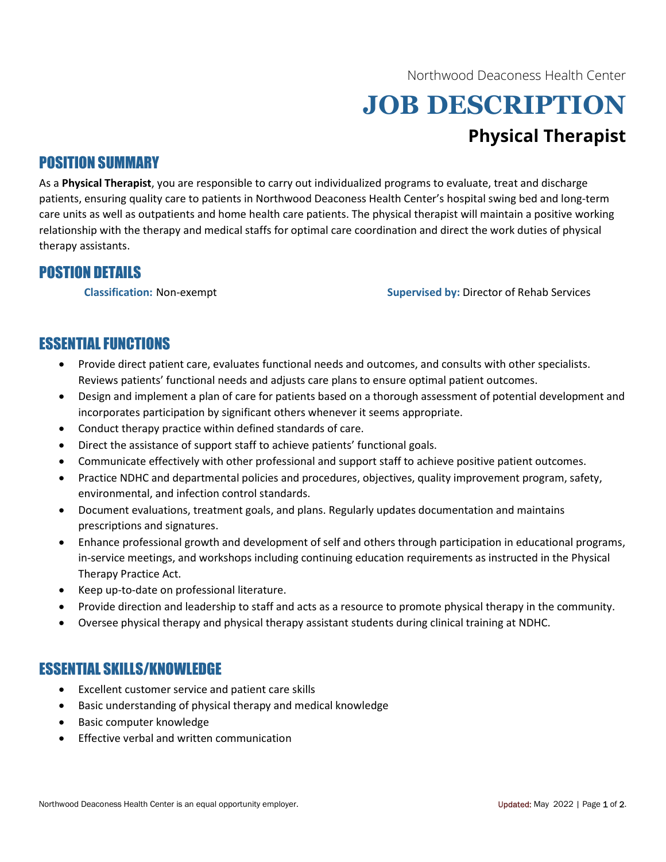Northwood Deaconess Health Center

# JOB DESCRIPTION Physical Therapist

#### POSITION SUMMARY

As a Physical Therapist, you are responsible to carry out individualized programs to evaluate, treat and discharge patients, ensuring quality care to patients in Northwood Deaconess Health Center's hospital swing bed and long-term care units as well as outpatients and home health care patients. The physical therapist will maintain a positive working relationship with the therapy and medical staffs for optimal care coordination and direct the work duties of physical therapy assistants.

### POSTION DETAILS

Classification: Non-exempt Supervised by: Director of Rehab Services

## ESSENTIAL FUNCTIONS

- Provide direct patient care, evaluates functional needs and outcomes, and consults with other specialists. Reviews patients' functional needs and adjusts care plans to ensure optimal patient outcomes.
- Design and implement a plan of care for patients based on a thorough assessment of potential development and incorporates participation by significant others whenever it seems appropriate.
- Conduct therapy practice within defined standards of care.
- Direct the assistance of support staff to achieve patients' functional goals.
- Communicate effectively with other professional and support staff to achieve positive patient outcomes.
- Practice NDHC and departmental policies and procedures, objectives, quality improvement program, safety, environmental, and infection control standards.
- Document evaluations, treatment goals, and plans. Regularly updates documentation and maintains prescriptions and signatures.
- Enhance professional growth and development of self and others through participation in educational programs, in-service meetings, and workshops including continuing education requirements as instructed in the Physical Therapy Practice Act.
- Keep up-to-date on professional literature.
- Provide direction and leadership to staff and acts as a resource to promote physical therapy in the community.
- Oversee physical therapy and physical therapy assistant students during clinical training at NDHC.

#### ESSENTIAL SKILLS/KNOWLEDGE

- Excellent customer service and patient care skills
- Basic understanding of physical therapy and medical knowledge
- Basic computer knowledge
- Effective verbal and written communication